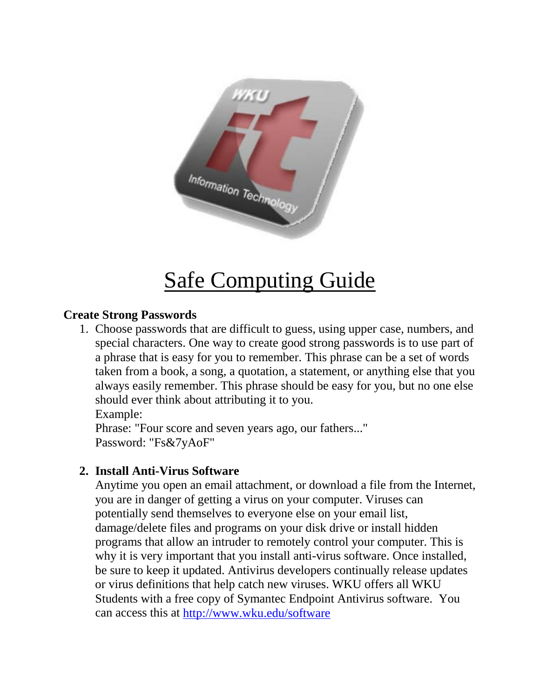

# Safe Computing Guide

# **Create Strong Passwords**

1. Choose passwords that are difficult to guess, using upper case, numbers, and special characters. One way to create good strong passwords is to use part of a phrase that is easy for you to remember. This phrase can be a set of words taken from a book, a song, a quotation, a statement, or anything else that you always easily remember. This phrase should be easy for you, but no one else should ever think about attributing it to you.

Example:

Phrase: "Four score and seven years ago, our fathers..." Password: "Fs&7yAoF"

## **2. Install Anti-Virus Software**

Anytime you open an email attachment, or download a file from the Internet, you are in danger of getting a virus on your computer. Viruses can potentially send themselves to everyone else on your email list, damage/delete files and programs on your disk drive or install hidden programs that allow an intruder to remotely control your computer. This is why it is very important that you install anti-virus software. Once installed, be sure to keep it updated. Antivirus developers continually release updates or virus definitions that help catch new viruses. WKU offers all WKU Students with a free copy of Symantec Endpoint Antivirus software. You can access this at<http://www.wku.edu/software>